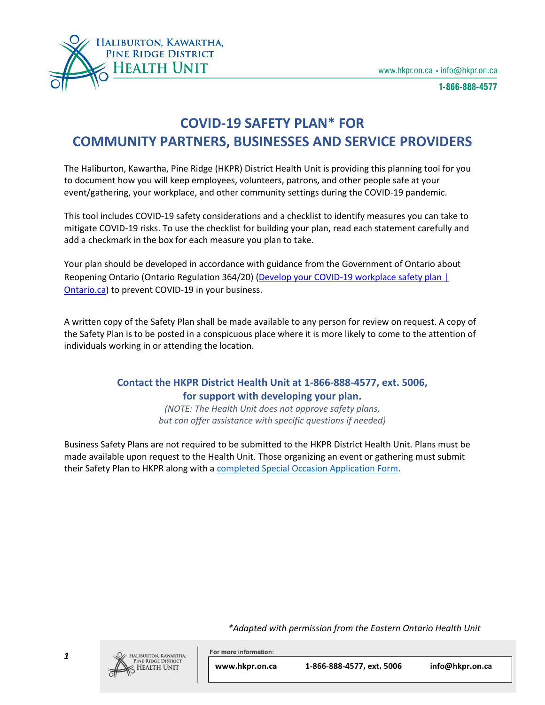

1-866-888-4577

# **COVID-19 SAFETY PLAN\* FOR COMMUNITY PARTNERS, BUSINESSES AND SERVICE PROVIDERS**

The Haliburton, Kawartha, Pine Ridge (HKPR) District Health Unit is providing this planning tool for you to document how you will keep employees, volunteers, patrons, and other people safe at your event/gathering, your workplace, and other community settings during the COVID-19 pandemic.

This tool includes COVID-19 safety considerations and a checklist to identify measures you can take to mitigate COVID-19 risks. To use the checklist for building your plan, read each statement carefully and add a checkmark in the box for each measure you plan to take.

Your plan should be developed in accordance with guidance from the Government of Ontario about Reopening Ontario (Ontario Regulation 364/20) (Develop your COVID-19 workplace safety plan | [Ontario.ca\)](https://can01.safelinks.protection.outlook.com/?url=https%3A%2F%2Fwww.ontario.ca%2Fpage%2Fdevelop-your-covid-19-workplace-safety-plan&data=04%7C01%7Cbmayer%40HKPR.ON.CA%7C5cb9abc1322340e5604608d897cf3c35%7C7dc1ff9d05f14ca6bafe226ff5f16bda%7C0%7C0%7C637426263609436308%7CUnknown%7CTWFpbGZsb3d8eyJWIjoiMC4wLjAwMDAiLCJQIjoiV2luMzIiLCJBTiI6Ik1haWwiLCJXVCI6Mn0%3D%7C1000&sdata=WC%2B47ykfIffejCa3H8u2QCwLYH%2FRVDU9mwpZlzbJ7lY%3D&reserved=0) to prevent COVID-19 in your business.

A written copy of the Safety Plan shall be made available to any person for review on request. A copy of the Safety Plan is to be posted in a conspicuous place where it is more likely to come to the attention of individuals working in or attending the location.

# **Contact the HKPR District Health Unit at 1-866-888-4577, ext. 5006, for support with developing your plan.**

*(NOTE: The Health Unit does not approve safety plans, but can offer assistance with specific questions if needed)*

Business Safety Plans are not required to be submitted to the HKPR District Health Unit. Plans must be made available upon request to the Health Unit. Those organizing an event or gathering must submit their Safety Plan to HKPR along with [a completed Special Occasion Application Form.](http://www.hkpr.on.ca/wp-content/uploads/2020/12/Notification-Form-for-Food-Premises-HKPR.pdf)

*\*Adapted with permission from the Eastern Ontario Health Unit*



*1*

LIBURTON, KAWARTHA, **PINE RIDGE DISTRICT HEALTH UNIT** 

For more information: www.hkpr.on.ca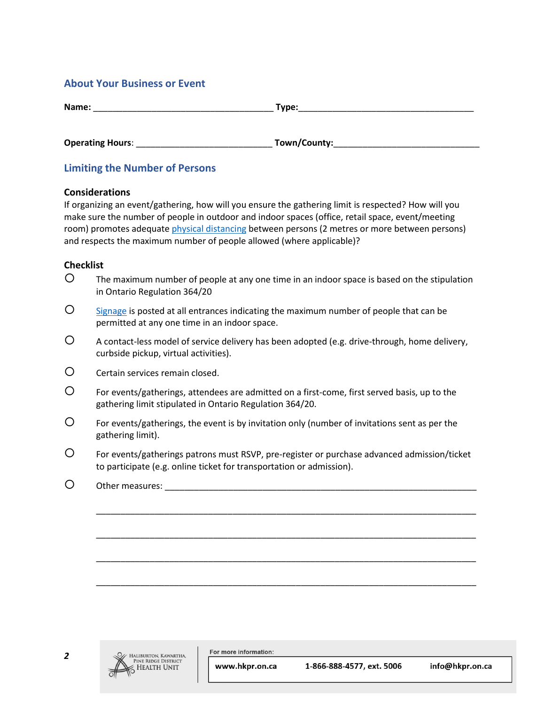## **About Your Business or Event**

| Name:                   | Type:         |
|-------------------------|---------------|
| <b>Operating Hours:</b> | _Town/County: |

# **Limiting the Number of Persons**

#### **Considerations**

If organizing an event/gathering, how will you ensure the gathering limit is respected? How will you make sure the number of people in outdoor and indoor spaces (office, retail space, event/meeting room) promotes adequate *physical distancing* between persons (2 metres or more between persons) and respects the maximum number of people allowed (where applicable)?

### **Checklist**

- $\mathsf{O}$  The maximum number of people at any one time in an indoor space is based on the stipulation in Ontario Regulation 364/20
- $\overline{O}$  [Signage](https://www.hkpr.on.ca/2020/03/26/printable-resources/) is posted at all entrances indicating the maximum number of people that can be permitted at any one time in an indoor space.
- A contact-less model of service delivery has been adopted (e.g. drive-through, home delivery, curbside pickup, virtual activities).
- Certain services remain closed.
- For events/gatherings, attendees are admitted on a first-come, first served basis, up to the gathering limit stipulated in Ontario Regulation 364/20.
- For events/gatherings, the event is by invitation only (number of invitations sent as per the gathering limit).
- For events/gatherings patrons must RSVP, pre-register or purchase advanced admission/ticket to participate (e.g. online ticket for transportation or admission).

\_\_\_\_\_\_\_\_\_\_\_\_\_\_\_\_\_\_\_\_\_\_\_\_\_\_\_\_\_\_\_\_\_\_\_\_\_\_\_\_\_\_\_\_\_\_\_\_\_\_\_\_\_\_\_\_\_\_\_\_\_\_\_\_\_\_\_\_\_\_\_\_\_\_\_\_\_\_

\_\_\_\_\_\_\_\_\_\_\_\_\_\_\_\_\_\_\_\_\_\_\_\_\_\_\_\_\_\_\_\_\_\_\_\_\_\_\_\_\_\_\_\_\_\_\_\_\_\_\_\_\_\_\_\_\_\_\_\_\_\_\_\_\_\_\_\_\_\_\_\_\_\_\_\_\_\_

\_\_\_\_\_\_\_\_\_\_\_\_\_\_\_\_\_\_\_\_\_\_\_\_\_\_\_\_\_\_\_\_\_\_\_\_\_\_\_\_\_\_\_\_\_\_\_\_\_\_\_\_\_\_\_\_\_\_\_\_\_\_\_\_\_\_\_\_\_\_\_\_\_\_\_\_\_\_

\_\_\_\_\_\_\_\_\_\_\_\_\_\_\_\_\_\_\_\_\_\_\_\_\_\_\_\_\_\_\_\_\_\_\_\_\_\_\_\_\_\_\_\_\_\_\_\_\_\_\_\_\_\_\_\_\_\_\_\_\_\_\_\_\_\_\_\_\_\_\_\_\_\_\_\_\_\_

O Other measures:

For more information:

www.hkpr.on.ca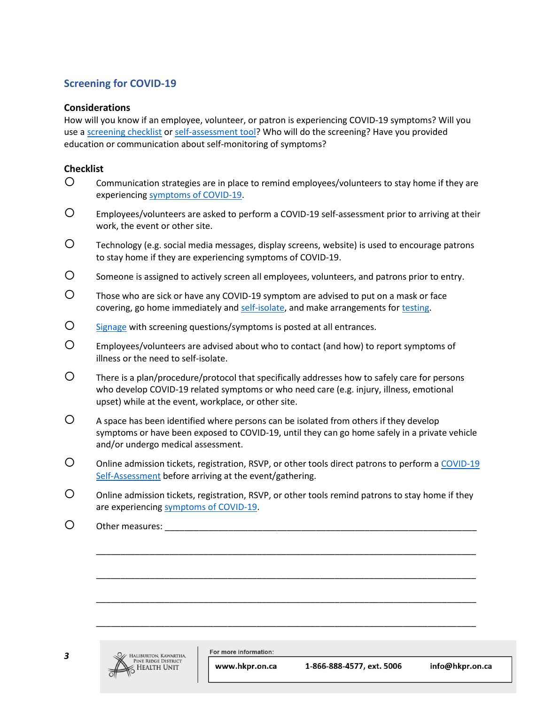# **Screening for COVID-19**

### **Considerations**

How will you know if an employee, volunteer, or patron is experiencing COVID-19 symptoms? Will you use a [screening checklist](https://www.hkpr.on.ca/wp-content/uploads/2020/09/COVID-SymptomScreenToolEmployees-aoda.pdf) o[r self-assessment tool?](https://covid-19.ontario.ca/self-assessment/) Who will do the screening? Have you provided education or communication about self-monitoring of symptoms?

### **Checklist**

- Communication strategies are in place to remind employees/volunteers to stay home if they are experiencing [symptoms of COVID-19.](https://www.hkpr.on.ca/covid-19/covid-19-qa/#Symptoms)
- Employees/volunteers are asked to perform a COVID-19 self-assessment prior to arriving at their work, the event or other site.
- Technology (e.g. social media messages, display screens, website) is used to encourage patrons to stay home if they are experiencing symptoms of COVID-19.
- $\mathcal{O}$  someone is assigned to actively screen all employees, volunteers, and patrons prior to entry.
- Those who are sick or have any COVID-19 symptom are advised to put on a mask or face covering, go home immediately and [self-isolate,](https://www.hkpr.on.ca/2020/08/05/self-isolation/) and make arrangements for [testing.](https://www.hkpr.on.ca/2020/03/26/covid-19-assessment-centres/)
- O [Signage](https://www.hkpr.on.ca/2020/03/26/printable-resources/) with screening questions/symptoms is posted at all entrances.
- Employees/volunteers are advised about who to contact (and how) to report symptoms of illness or the need to self-isolate.
- There is a plan/procedure/protocol that specifically addresses how to safely care for persons who develop COVID-19 related symptoms or who need care (e.g. injury, illness, emotional upset) while at the event, workplace, or other site.
- $\Omega$  A space has been identified where persons can be isolated from others if they develop symptoms or have been exposed to COVID-19, until they can go home safely in a private vehicle and/or undergo medical assessment.
- O online admission tickets, registration, RSVP, or other tools direct patrons to perform a COVID-19 [Self-Assessment](https://covid-19.ontario.ca/self-assessment/) before arriving at the event/gathering.
- Online admission tickets, registration, RSVP, or other tools remind patrons to stay home if they are experiencing [symptoms of COVID-19.](https://www.hkpr.on.ca/covid-19/covid-19-qa/#Symptoms)

\_\_\_\_\_\_\_\_\_\_\_\_\_\_\_\_\_\_\_\_\_\_\_\_\_\_\_\_\_\_\_\_\_\_\_\_\_\_\_\_\_\_\_\_\_\_\_\_\_\_\_\_\_\_\_\_\_\_\_\_\_\_\_\_\_\_\_\_\_\_\_\_\_\_\_\_\_\_

\_\_\_\_\_\_\_\_\_\_\_\_\_\_\_\_\_\_\_\_\_\_\_\_\_\_\_\_\_\_\_\_\_\_\_\_\_\_\_\_\_\_\_\_\_\_\_\_\_\_\_\_\_\_\_\_\_\_\_\_\_\_\_\_\_\_\_\_\_\_\_\_\_\_\_\_\_\_

\_\_\_\_\_\_\_\_\_\_\_\_\_\_\_\_\_\_\_\_\_\_\_\_\_\_\_\_\_\_\_\_\_\_\_\_\_\_\_\_\_\_\_\_\_\_\_\_\_\_\_\_\_\_\_\_\_\_\_\_\_\_\_\_\_\_\_\_\_\_\_\_\_\_\_\_\_\_

\_\_\_\_\_\_\_\_\_\_\_\_\_\_\_\_\_\_\_\_\_\_\_\_\_\_\_\_\_\_\_\_\_\_\_\_\_\_\_\_\_\_\_\_\_\_\_\_\_\_\_\_\_\_\_\_\_\_\_\_\_\_\_\_\_\_\_\_\_\_\_\_\_\_\_\_\_\_

 $O_{\text{other measures}}$ :



For more information:

www.hkpr.on.ca

1-866-888-4577, ext. 5006

info@hkpr.on.ca

*3*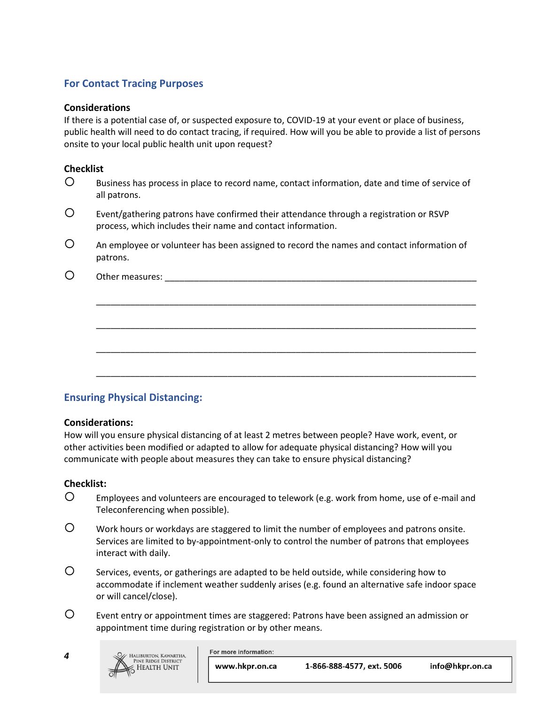# **For Contact Tracing Purposes**

#### **Considerations**

If there is a potential case of, or suspected exposure to, COVID-19 at your event or place of business, public health will need to do contact tracing, if required. How will you be able to provide a list of persons onsite to your local public health unit upon request?

#### **Checklist**

- Business has process in place to record name, contact information, date and time of service of all patrons.
- Event/gathering patrons have confirmed their attendance through a registration or RSVP process, which includes their name and contact information.
- An employee or volunteer has been assigned to record the names and contact information of patrons.

\_\_\_\_\_\_\_\_\_\_\_\_\_\_\_\_\_\_\_\_\_\_\_\_\_\_\_\_\_\_\_\_\_\_\_\_\_\_\_\_\_\_\_\_\_\_\_\_\_\_\_\_\_\_\_\_\_\_\_\_\_\_\_\_\_\_\_\_\_\_\_\_\_\_\_\_\_\_

\_\_\_\_\_\_\_\_\_\_\_\_\_\_\_\_\_\_\_\_\_\_\_\_\_\_\_\_\_\_\_\_\_\_\_\_\_\_\_\_\_\_\_\_\_\_\_\_\_\_\_\_\_\_\_\_\_\_\_\_\_\_\_\_\_\_\_\_\_\_\_\_\_\_\_\_\_\_

\_\_\_\_\_\_\_\_\_\_\_\_\_\_\_\_\_\_\_\_\_\_\_\_\_\_\_\_\_\_\_\_\_\_\_\_\_\_\_\_\_\_\_\_\_\_\_\_\_\_\_\_\_\_\_\_\_\_\_\_\_\_\_\_\_\_\_\_\_\_\_\_\_\_\_\_\_\_

\_\_\_\_\_\_\_\_\_\_\_\_\_\_\_\_\_\_\_\_\_\_\_\_\_\_\_\_\_\_\_\_\_\_\_\_\_\_\_\_\_\_\_\_\_\_\_\_\_\_\_\_\_\_\_\_\_\_\_\_\_\_\_\_\_\_\_\_\_\_\_\_\_\_\_\_\_\_

O Other measures:

### **Ensuring Physical Distancing:**

#### **Considerations:**

How will you ensure physical distancing of at least 2 metres between people? Have work, event, or other activities been modified or adapted to allow for adequate physical distancing? How will you communicate with people about measures they can take to ensure physical distancing?

### **Checklist:**

- Employees and volunteers are encouraged to telework (e.g. work from home, use of e-mail and Teleconferencing when possible).
- Work hours or workdays are staggered to limit the number of employees and patrons onsite. Services are limited to by-appointment-only to control the number of patrons that employees interact with daily.
- Services, events, or gatherings are adapted to be held outside, while considering how to accommodate if inclement weather suddenly arises (e.g. found an alternative safe indoor space or will cancel/close).
- Event entry or appointment times are staggered: Patrons have been assigned an admission or appointment time during registration or by other means.

*4*



For more information:

1-866-888-4577, ext. 5006 www.hkpr.on.ca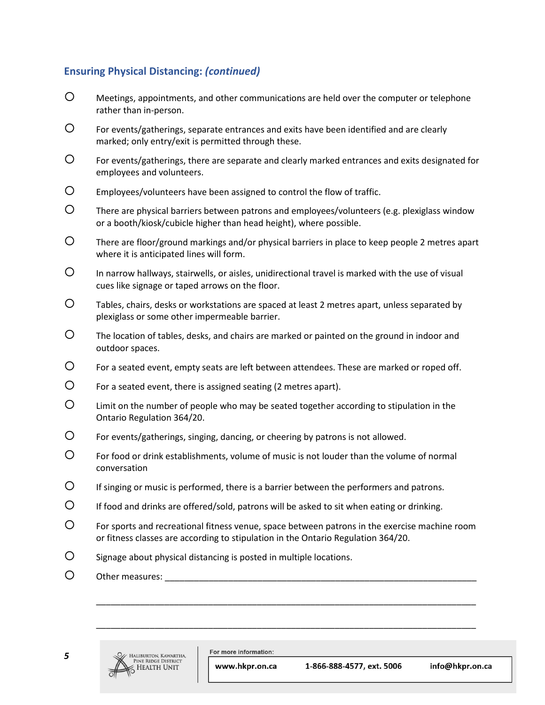# **Ensuring Physical Distancing:** *(continued)*

- Meetings, appointments, and other communications are held over the computer or telephone rather than in-person.
- For events/gatherings, separate entrances and exits have been identified and are clearly marked; only entry/exit is permitted through these.
- For events/gatherings, there are separate and clearly marked entrances and exits designated for employees and volunteers.
- Employees/volunteers have been assigned to control the flow of traffic.
- There are physical barriers between patrons and employees/volunteers (e.g. plexiglass window or a booth/kiosk/cubicle higher than head height), where possible.
- There are floor/ground markings and/or physical barriers in place to keep people 2 metres apart where it is anticipated lines will form.
- $\mathsf{D}$  In narrow hallways, stairwells, or aisles, unidirectional travel is marked with the use of visual cues like signage or taped arrows on the floor.
- Tables, chairs, desks or workstations are spaced at least 2 metres apart, unless separated by plexiglass or some other impermeable barrier.
- The location of tables, desks, and chairs are marked or painted on the ground in indoor and outdoor spaces.
- For a seated event, empty seats are left between attendees. These are marked or roped off.
- $\circ$  For a seated event, there is assigned seating (2 metres apart).
- Limit on the number of people who may be seated together according to stipulation in the Ontario Regulation 364/20.
- For events/gatherings, singing, dancing, or cheering by patrons is not allowed.
- For food or drink establishments, volume of music is not louder than the volume of normal conversation
- If singing or music is performed, there is a barrier between the performers and patrons.
- $\circ$  If food and drinks are offered/sold, patrons will be asked to sit when eating or drinking.
- For sports and recreational fitness venue, space between patrons in the exercise machine room or fitness classes are according to stipulation in the Ontario Regulation 364/20.

\_\_\_\_\_\_\_\_\_\_\_\_\_\_\_\_\_\_\_\_\_\_\_\_\_\_\_\_\_\_\_\_\_\_\_\_\_\_\_\_\_\_\_\_\_\_\_\_\_\_\_\_\_\_\_\_\_\_\_\_\_\_\_\_\_\_\_\_\_\_\_\_\_\_\_\_\_\_

\_\_\_\_\_\_\_\_\_\_\_\_\_\_\_\_\_\_\_\_\_\_\_\_\_\_\_\_\_\_\_\_\_\_\_\_\_\_\_\_\_\_\_\_\_\_\_\_\_\_\_\_\_\_\_\_\_\_\_\_\_\_\_\_\_\_\_\_\_\_\_\_\_\_\_\_\_\_

- $\mathcal{O}$  Signage about physical distancing is posted in multiple locations.
- O Other measures:



For more information:

www.hkpr.on.ca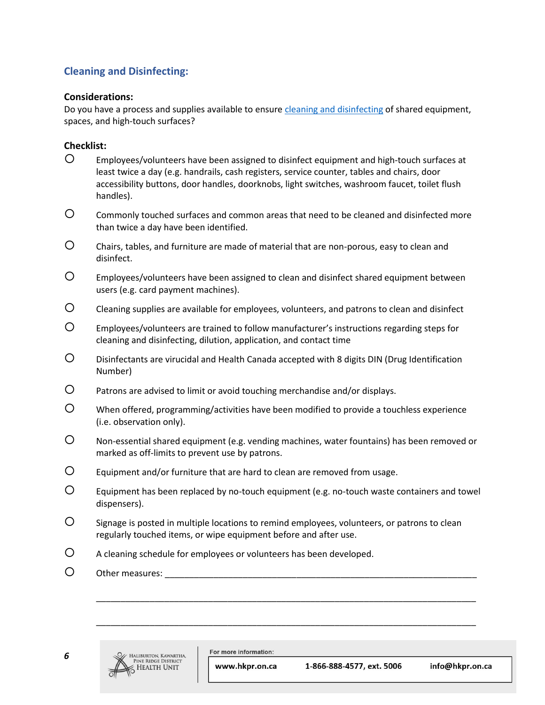# **Cleaning and Disinfecting:**

### **Considerations:**

Do you have a process and supplies available to ensure [cleaning and disinfecting](https://www.hkpr.on.ca/2020/03/19/covid-19-cleaning-and-disinfection-for-public-spaces/) of shared equipment, spaces, and high-touch surfaces?

### **Checklist:**

- Employees/volunteers have been assigned to disinfect equipment and high-touch surfaces at least twice a day (e.g. handrails, cash registers, service counter, tables and chairs, door accessibility buttons, door handles, doorknobs, light switches, washroom faucet, toilet flush handles).
- Commonly touched surfaces and common areas that need to be cleaned and disinfected more than twice a day have been identified.
- Chairs, tables, and furniture are made of material that are non-porous, easy to clean and disinfect.
- Employees/volunteers have been assigned to clean and disinfect shared equipment between users (e.g. card payment machines).
- Cleaning supplies are available for employees, volunteers, and patrons to clean and disinfect
- Employees/volunteers are trained to follow manufacturer's instructions regarding steps for cleaning and disinfecting, dilution, application, and contact time
- Disinfectants are virucidal and Health Canada accepted with 8 digits DIN (Drug Identification Number)
- Patrons are advised to limit or avoid touching merchandise and/or displays.
- When offered, programming/activities have been modified to provide a touchless experience (i.e. observation only).
- Non-essential shared equipment (e.g. vending machines, water fountains) has been removed or marked as off-limits to prevent use by patrons.
- Equipment and/or furniture that are hard to clean are removed from usage.
- Equipment has been replaced by no-touch equipment (e.g. no-touch waste containers and towel dispensers).

\_\_\_\_\_\_\_\_\_\_\_\_\_\_\_\_\_\_\_\_\_\_\_\_\_\_\_\_\_\_\_\_\_\_\_\_\_\_\_\_\_\_\_\_\_\_\_\_\_\_\_\_\_\_\_\_\_\_\_\_\_\_\_\_\_\_\_\_\_\_\_\_\_\_\_\_\_\_

\_\_\_\_\_\_\_\_\_\_\_\_\_\_\_\_\_\_\_\_\_\_\_\_\_\_\_\_\_\_\_\_\_\_\_\_\_\_\_\_\_\_\_\_\_\_\_\_\_\_\_\_\_\_\_\_\_\_\_\_\_\_\_\_\_\_\_\_\_\_\_\_\_\_\_\_\_\_

- Signage is posted in multiple locations to remind employees, volunteers, or patrons to clean regularly touched items, or wipe equipment before and after use.
- A cleaning schedule for employees or volunteers has been developed.
- O Other measures:

*6*



For more information:

www.hkpr.on.ca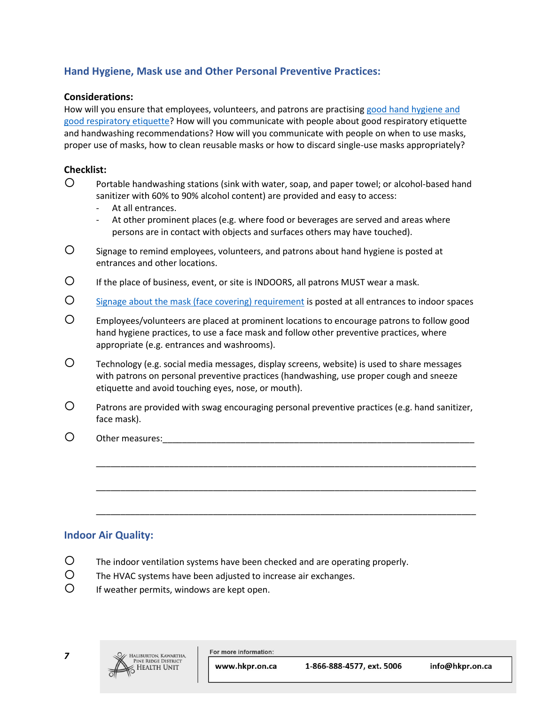# **Hand Hygiene, Mask use and Other Personal Preventive Practices:**

#### **Considerations:**

How will you ensure that employees, volunteers, and patrons are practising [good hand hygiene and](https://www.hkpr.on.ca/2020/03/20/hand-hygiene-respiratory-etiquette-at-work/)  [good respiratory etiquette?](https://www.hkpr.on.ca/2020/03/20/hand-hygiene-respiratory-etiquette-at-work/) How will you communicate with people about good respiratory etiquette and handwashing recommendations? How will you communicate with people on when to use masks, proper use of masks, how to clean reusable masks or how to discard single-use masks appropriately?

### **Checklist:**

- Portable handwashing stations (sink with water, soap, and paper towel; or alcohol-based hand sanitizer with 60% to 90% alcohol content) are provided and easy to access:
	- At all entrances.
	- At other prominent places (e.g. where food or beverages are served and areas where persons are in contact with objects and surfaces others may have touched).
- $\mathcal{O}$  signage to remind employees, volunteers, and patrons about hand hygiene is posted at entrances and other locations.
- If the place of business, event, or site is INDOORS, all patrons MUST wear a mask.
- [Signage about the mask \(face covering\) requirement](https://www.hkpr.on.ca/wp-content/uploads/2020/07/HKPR-COVID-poster-WearAMaskBeforeEnter-colournew-aoda.pdf) is posted at all entrances to indoor spaces
- Employees/volunteers are placed at prominent locations to encourage patrons to follow good hand hygiene practices, to use a face mask and follow other preventive practices, where appropriate (e.g. entrances and washrooms).
- Technology (e.g. social media messages, display screens, website) is used to share messages with patrons on personal preventive practices (handwashing, use proper cough and sneeze etiquette and avoid touching eyes, nose, or mouth).
- $\circ$  Patrons are provided with swag encouraging personal preventive practices (e.g. hand sanitizer, face mask).

\_\_\_\_\_\_\_\_\_\_\_\_\_\_\_\_\_\_\_\_\_\_\_\_\_\_\_\_\_\_\_\_\_\_\_\_\_\_\_\_\_\_\_\_\_\_\_\_\_\_\_\_\_\_\_\_\_\_\_\_\_\_\_\_\_\_\_\_\_\_\_\_\_\_\_\_\_\_

\_\_\_\_\_\_\_\_\_\_\_\_\_\_\_\_\_\_\_\_\_\_\_\_\_\_\_\_\_\_\_\_\_\_\_\_\_\_\_\_\_\_\_\_\_\_\_\_\_\_\_\_\_\_\_\_\_\_\_\_\_\_\_\_\_\_\_\_\_\_\_\_\_\_\_\_\_\_

\_\_\_\_\_\_\_\_\_\_\_\_\_\_\_\_\_\_\_\_\_\_\_\_\_\_\_\_\_\_\_\_\_\_\_\_\_\_\_\_\_\_\_\_\_\_\_\_\_\_\_\_\_\_\_\_\_\_\_\_\_\_\_\_\_\_\_\_\_\_\_\_\_\_\_\_\_\_

O Other measures:

### **Indoor Air Quality:**

- The indoor ventilation systems have been checked and are operating properly.
- The HVAC systems have been adjusted to increase air exchanges.
- $O$  If weather permits, windows are kept open.